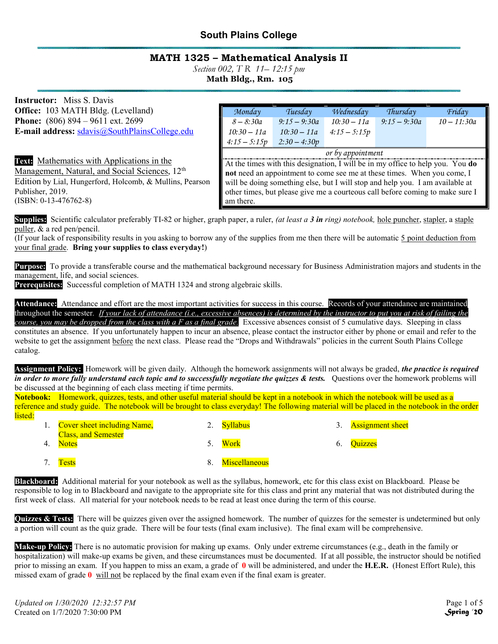# South Plains College

# MATH 1325 – Mathematical Analysis II

Section 002, T R 11–12:15 pm

Math Bldg., Rm. 105

Instructor: Miss S. Davis Office: 103 MATH Bldg. (Levelland) Phone: (806) 894 – 9611 ext. 2699 E-mail address: sdavis@SouthPlainsCollege.edu

Text: Mathematics with Applications in the

Management, Natural, and Social Sciences, 12<sup>th</sup> Edition by Lial, Hungerford, Holcomb, & Mullins, Pearson Publisher, 2019. (ISBN: 0-13-476762-8)

| Monday                                                                         | Tuesday        | Wednesday      | Thursday       | Friday        |  |  |
|--------------------------------------------------------------------------------|----------------|----------------|----------------|---------------|--|--|
| $8 - 8:30a$                                                                    | $9:15 - 9:30a$ | $10:30 - 11a$  | $9:15 - 9:30a$ | $10 - 11:30a$ |  |  |
| $10:30 - 11a$                                                                  | $10:30 - 11a$  | $4:15 - 5:15p$ |                |               |  |  |
| $4:15 - 5:15p$                                                                 | $2:30 - 4:30p$ |                |                |               |  |  |
| or by appointment                                                              |                |                |                |               |  |  |
| At the times with this designation, I will be in my office to help you. You do |                |                |                |               |  |  |
| not need an appointment to come see me at these times. When you come, I        |                |                |                |               |  |  |
| will be doing something else, but I will stop and help you. I am available at  |                |                |                |               |  |  |
| other times, but please give me a courteous call before coming to make sure I  |                |                |                |               |  |  |

Supplies: Scientific calculator preferably TI-82 or higher, graph paper, a ruler, *(at least a 3 in ring) notebook*, hole puncher, stapler, a staple puller, & a red pen/pencil.

am there.

(If your lack of responsibility results in you asking to borrow any of the supplies from me then there will be automatic 5 point deduction from your final grade. Bring your supplies to class everyday!)

Purpose: To provide a transferable course and the mathematical background necessary for Business Administration majors and students in the management, life, and social sciences.

Prerequisites: Successful completion of MATH 1324 and strong algebraic skills.

Attendance: Attendance and effort are the most important activities for success in this course. Records of your attendance are maintained throughout the semester. If your lack of attendance (i.e., excessive absences) is determined by the instructor to put you at risk of failing the course, you may be dropped from the class with a F as a final grade. Excessive absences consist of 5 cumulative days. Sleeping in class constitutes an absence. If you unfortunately happen to incur an absence, please contact the instructor either by phone or email and refer to the website to get the assignment before the next class. Please read the "Drops and Withdrawals" policies in the current South Plains College catalog.

**Assignment Policy:** Homework will be given daily. Although the homework assignments will not always be graded, *the practice is required* in order to more fully understand each topic and to successfully negotiate the quizzes & tests. Questions over the homework problems will be discussed at the beginning of each class meeting if time permits.

Notebook: Homework, quizzes, tests, and other useful material should be kept in a notebook in which the notebook will be used as a reference and study guide. The notebook will be brought to class everyday! The following material will be placed in the notebook in the order listed:

| 1. Cover sheet including Name,             |    | 2. Syllabus          | 3. Assignment sheet |
|--------------------------------------------|----|----------------------|---------------------|
| <b>Class, and Semester</b><br><b>Notes</b> | 5. | Work                 | 6. Quizzes          |
| <b>Tests</b>                               |    | <b>Miscellaneous</b> |                     |

Blackboard: Additional material for your notebook as well as the syllabus, homework, etc for this class exist on Blackboard. Please be responsible to log in to Blackboard and navigate to the appropriate site for this class and print any material that was not distributed during the first week of class. All material for your notebook needs to be read at least once during the term of this course.

Quizzes & Tests: There will be quizzes given over the assigned homework. The number of quizzes for the semester is undetermined but only a portion will count as the quiz grade. There will be four tests (final exam inclusive). The final exam will be comprehensive.

Make-up Policy: There is no automatic provision for making up exams. Only under extreme circumstances (e.g., death in the family or hospitalization) will make-up exams be given, and these circumstances must be documented. If at all possible, the instructor should be notified prior to missing an exam. If you happen to miss an exam, a grade of  $\bf{0}$  will be administered, and under the H.E.R. (Honest Effort Rule), this missed exam of grade  $\bf{0}$  will not be replaced by the final exam even if the final exam is greater.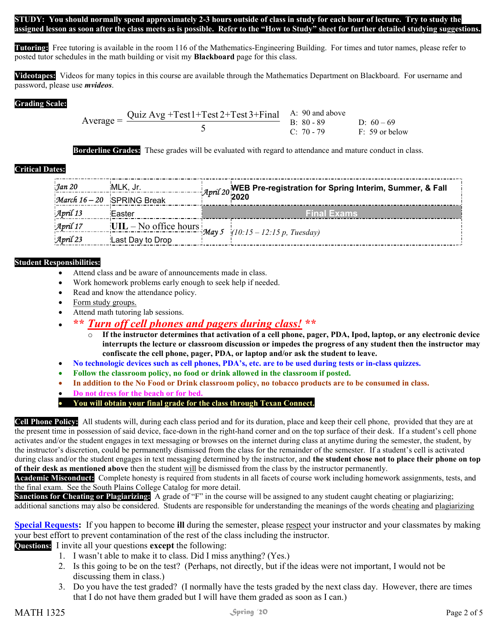STUDY: You should normally spend approximately 2-3 hours outside of class in study for each hour of lecture. Try to study the assigned lesson as soon after the class meets as is possible. Refer to the "How to Study" sheet for further detailed studying suggestions.

Tutoring: Free tutoring is available in the room 116 of the Mathematics-Engineering Building. For times and tutor names, please refer to posted tutor schedules in the math building or visit my **Blackboard** page for this class.

Videotapes: Videos for many topics in this course are available through the Mathematics Department on Blackboard. For username and password, please use *mvideos*.

#### Grading Scale:

Average =  $\frac{\text{Quiz Avg} + \text{Test1} + \text{Test2} + \text{Test3} + \text{Final}}{2}$ 5 A: 90 and above B:  $80 - 89$  D:  $60 - 69$ C: 70 - 79 F: 59 or below

Borderline Grades: These grades will be evaluated with regard to attendance and mature conduct in class.

## Critical Dates:

| Jan 20<br>$\mathcal{M}$ arch 16 - 20 | MLK, Jr.<br><b>SPRING Break</b> | <i>April</i> 20 <mark>WEB Pre-registration for Spring Interim, Summer, &amp; Fall</mark><br><i>April</i> 20 2020 |  |
|--------------------------------------|---------------------------------|------------------------------------------------------------------------------------------------------------------|--|
| $\mathcal{A}$ pril 13                | iEaster                         | <b>Final Exams</b>                                                                                               |  |
| April 17                             |                                 | $[UIL - No office hours]$ May 5 $(10:15 - 12:15 p, Tuesday)$                                                     |  |
| April 23                             | Last Day to Drop                |                                                                                                                  |  |

## Student Responsibilities:

- Attend class and be aware of announcements made in class.
- Work homework problems early enough to seek help if needed.
- Read and know the attendance policy.
- Form study groups.
- Attend math tutoring lab sessions.

# \*\* Turn off cell phones and pagers during class! \*\*

- $\overline{\circ}$  If the instructor determines that activation of a cell phone, pager, PDA, Ipod, laptop, or any electronic device interrupts the lecture or classroom discussion or impedes the progress of any student then the instructor may confiscate the cell phone, pager, PDA, or laptop and/or ask the student to leave.
- No technologic devices such as cell phones, PDA's, etc. are to be used during tests or in-class quizzes.
- Follow the classroom policy, no food or drink allowed in the classroom if posted.
- In addition to the No Food or Drink classroom policy, no tobacco products are to be consumed in class.
- Do not dress for the beach or for bed.

#### You will obtain your final grade for the class through Texan Connect.

Cell Phone Policy: All students will, during each class period and for its duration, place and keep their cell phone, provided that they are at the present time in possession of said device, face-down in the right-hand corner and on the top surface of their desk. If a student's cell phone activates and/or the student engages in text messaging or browses on the internet during class at anytime during the semester, the student, by the instructor's discretion, could be permanently dismissed from the class for the remainder of the semester. If a student's cell is activated during class and/or the student engages in text messaging determined by the instructor, and the student chose not to place their phone on top of their desk as mentioned above then the student will be dismissed from the class by the instructor permanently.

Academic Misconduct: Complete honesty is required from students in all facets of course work including homework assignments, tests, and the final exam. See the South Plains College Catalog for more detail.

Sanctions for Cheating or Plagiarizing: A grade of "F" in the course will be assigned to any student caught cheating or plagiarizing; additional sanctions may also be considered. Students are responsible for understanding the meanings of the words cheating and plagiarizing

Special Requests: If you happen to become ill during the semester, please respect your instructor and your classmates by making your best effort to prevent contamination of the rest of the class including the instructor.

Questions: I invite all your questions except the following:

- 1. I wasn't able to make it to class. Did I miss anything? (Yes.)
- 2. Is this going to be on the test? (Perhaps, not directly, but if the ideas were not important, I would not be discussing them in class.)
- 3. Do you have the test graded? (I normally have the tests graded by the next class day. However, there are times that I do not have them graded but I will have them graded as soon as I can.)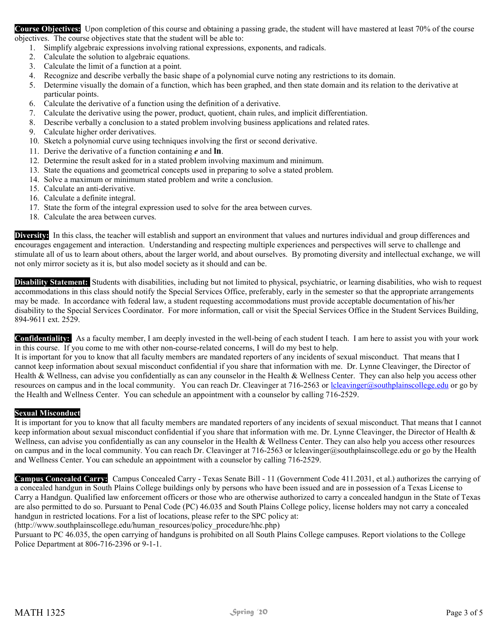Course Objectives: Upon completion of this course and obtaining a passing grade, the student will have mastered at least 70% of the course objectives. The course objectives state that the student will be able to:

- 1. Simplify algebraic expressions involving rational expressions, exponents, and radicals.
- 2. Calculate the solution to algebraic equations.
- 3. Calculate the limit of a function at a point.
- 4. Recognize and describe verbally the basic shape of a polynomial curve noting any restrictions to its domain.
- 5. Determine visually the domain of a function, which has been graphed, and then state domain and its relation to the derivative at particular points.
- 6. Calculate the derivative of a function using the definition of a derivative.
- 7. Calculate the derivative using the power, product, quotient, chain rules, and implicit differentiation.
- 8. Describe verbally a conclusion to a stated problem involving business applications and related rates.
- 9. Calculate higher order derivatives.
- 10. Sketch a polynomial curve using techniques involving the first or second derivative.
- 11. Derive the derivative of a function containing  $e$  and  $\ln$ .
- 12. Determine the result asked for in a stated problem involving maximum and minimum.
- 13. State the equations and geometrical concepts used in preparing to solve a stated problem.
- 14. Solve a maximum or minimum stated problem and write a conclusion.
- 15. Calculate an anti-derivative.
- 16. Calculate a definite integral.
- 17. State the form of the integral expression used to solve for the area between curves.
- 18. Calculate the area between curves.

Diversity: In this class, the teacher will establish and support an environment that values and nurtures individual and group differences and encourages engagement and interaction. Understanding and respecting multiple experiences and perspectives will serve to challenge and stimulate all of us to learn about others, about the larger world, and about ourselves. By promoting diversity and intellectual exchange, we will not only mirror society as it is, but also model society as it should and can be.

Disability Statement: Students with disabilities, including but not limited to physical, psychiatric, or learning disabilities, who wish to request accommodations in this class should notify the Special Services Office, preferably, early in the semester so that the appropriate arrangements may be made. In accordance with federal law, a student requesting accommodations must provide acceptable documentation of his/her disability to the Special Services Coordinator. For more information, call or visit the Special Services Office in the Student Services Building, 894-9611 ext. 2529.

Confidentiality: As a faculty member, I am deeply invested in the well-being of each student I teach. I am here to assist you with your work in this course. If you come to me with other non-course-related concerns, I will do my best to help.

It is important for you to know that all faculty members are mandated reporters of any incidents of sexual misconduct. That means that I cannot keep information about sexual misconduct confidential if you share that information with me. Dr. Lynne Cleavinger, the Director of Health & Wellness, can advise you confidentially as can any counselor in the Health & Wellness Center. They can also help you access other resources on campus and in the local community. You can reach Dr. Cleavinger at 716-2563 or lcleavinger@southplainscollege.edu or go by the Health and Wellness Center. You can schedule an appointment with a counselor by calling 716-2529.

#### Sexual Misconduct

It is important for you to know that all faculty members are mandated reporters of any incidents of sexual misconduct. That means that I cannot keep information about sexual misconduct confidential if you share that information with me. Dr. Lynne Cleavinger, the Director of Health  $\&$ Wellness, can advise you confidentially as can any counselor in the Health & Wellness Center. They can also help you access other resources on campus and in the local community. You can reach Dr. Cleavinger at 716-2563 or lcleavinger@southplainscollege.edu or go by the Health and Wellness Center. You can schedule an appointment with a counselor by calling 716-2529.

Campus Concealed Carry: Campus Concealed Carry - Texas Senate Bill - 11 (Government Code 411.2031, et al.) authorizes the carrying of a concealed handgun in South Plains College buildings only by persons who have been issued and are in possession of a Texas License to Carry a Handgun. Qualified law enforcement officers or those who are otherwise authorized to carry a concealed handgun in the State of Texas are also permitted to do so. Pursuant to Penal Code (PC) 46.035 and South Plains College policy, license holders may not carry a concealed handgun in restricted locations. For a list of locations, please refer to the SPC policy at:

(http://www.southplainscollege.edu/human\_resources/policy\_procedure/hhc.php)

Pursuant to PC 46.035, the open carrying of handguns is prohibited on all South Plains College campuses. Report violations to the College Police Department at 806-716-2396 or 9-1-1.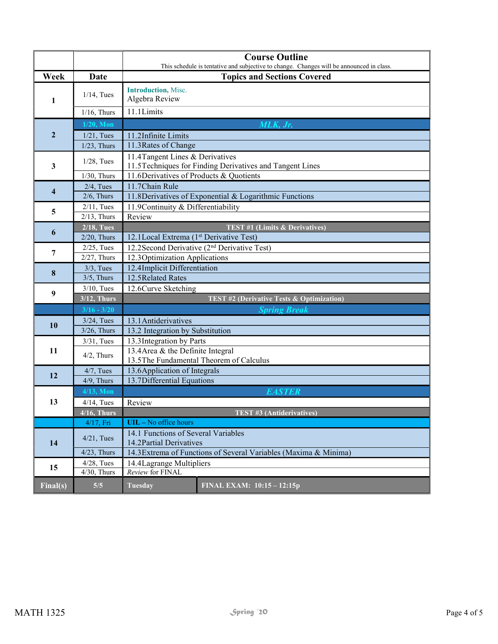|                         |                                                                                                     | <b>Course Outline</b><br>This schedule is tentative and subjective to change. Changes will be announced in class. |  |  |  |  |  |
|-------------------------|-----------------------------------------------------------------------------------------------------|-------------------------------------------------------------------------------------------------------------------|--|--|--|--|--|
| Week                    | <b>Date</b>                                                                                         | <b>Topics and Sections Covered</b>                                                                                |  |  |  |  |  |
| 1                       | $1/14$ , Tues                                                                                       | <b>Introduction</b> , Misc.<br>Algebra Review                                                                     |  |  |  |  |  |
|                         | $1/16$ , Thurs                                                                                      | 11.1Limits                                                                                                        |  |  |  |  |  |
|                         | $1/20$ , Mon                                                                                        | MLK, Jr.                                                                                                          |  |  |  |  |  |
| $\overline{2}$          | $1/21$ , Tues                                                                                       | 11.2Infinite Limits                                                                                               |  |  |  |  |  |
|                         | $1/23$ , Thurs                                                                                      | 11.3 Rates of Change                                                                                              |  |  |  |  |  |
| $\mathbf{3}$            | $1/28$ , Tues                                                                                       | 11.4 Tangent Lines & Derivatives<br>11.5 Techniques for Finding Derivatives and Tangent Lines                     |  |  |  |  |  |
|                         | $1/30$ , Thurs                                                                                      | 11.6Derivatives of Products & Quotients                                                                           |  |  |  |  |  |
| $\overline{\mathbf{4}}$ | $2/4$ , Tues                                                                                        | 11.7Chain Rule                                                                                                    |  |  |  |  |  |
|                         | $2/6$ , Thurs                                                                                       | 11.8 Derivatives of Exponential & Logarithmic Functions                                                           |  |  |  |  |  |
| 5                       | $2/11$ , Tues                                                                                       | 11.9 Continuity & Differentiability                                                                               |  |  |  |  |  |
|                         | $2/13$ , Thurs                                                                                      | Review                                                                                                            |  |  |  |  |  |
| 6                       | $2/18$ , Tues                                                                                       | <b>TEST #1 (Limits &amp; Derivatives)</b><br>12.1Local Extrema (1st Derivative Test)                              |  |  |  |  |  |
|                         | $2/20$ , Thurs                                                                                      |                                                                                                                   |  |  |  |  |  |
| 7                       | $2/25$ , Tues                                                                                       | 12.2Second Derivative (2 <sup>nd</sup> Derivative Test)                                                           |  |  |  |  |  |
|                         | $2/27$ , Thurs                                                                                      | 12.3 Optimization Applications                                                                                    |  |  |  |  |  |
| 8                       | $3/3$ , Tues                                                                                        | 12.4Implicit Differentiation                                                                                      |  |  |  |  |  |
|                         | $3/5$ , Thurs                                                                                       | 12.5 Related Rates                                                                                                |  |  |  |  |  |
| 9                       | $3/10$ , Tues                                                                                       | 12.6Curve Sketching                                                                                               |  |  |  |  |  |
|                         | $3/12$ , Thurs                                                                                      | TEST #2 (Derivative Tests & Optimization)                                                                         |  |  |  |  |  |
|                         | $3/16 - 3/20$                                                                                       | <b>Spring Break</b>                                                                                               |  |  |  |  |  |
| 10                      | $3/24$ , Tues                                                                                       | 13.1 Antiderivatives                                                                                              |  |  |  |  |  |
|                         | $3/26$ , Thurs                                                                                      | 13.2 Integration by Substitution                                                                                  |  |  |  |  |  |
|                         | $3/31$ , Tues                                                                                       | 13.3 Integration by Parts                                                                                         |  |  |  |  |  |
|                         | 13.4 Area & the Definite Integral<br>11<br>$4/2$ , Thurs<br>13.5The Fundamental Theorem of Calculus |                                                                                                                   |  |  |  |  |  |
| 12                      | $4/7$ , Tues                                                                                        | 13.6 Application of Integrals                                                                                     |  |  |  |  |  |
|                         | $4/9$ , Thurs                                                                                       | 13.7Differential Equations                                                                                        |  |  |  |  |  |
|                         | $4/13$ , Mon                                                                                        | <b>EASTER</b>                                                                                                     |  |  |  |  |  |
| 13                      | $4/14$ , Tues                                                                                       | Review                                                                                                            |  |  |  |  |  |
|                         | $4/16$ , Thurs                                                                                      | <b>TEST #3 (Antiderivatives)</b>                                                                                  |  |  |  |  |  |
|                         | $4/17$ , Fri                                                                                        | UIL - No office hours                                                                                             |  |  |  |  |  |
| 14                      | $4/21$ , Tues                                                                                       | 14.1 Functions of Several Variables<br>14.2 Partial Derivatives                                                   |  |  |  |  |  |
|                         | $4/23$ , Thurs                                                                                      | 14.3 Extrema of Functions of Several Variables (Maxima & Minima)                                                  |  |  |  |  |  |
| 15                      | $4/28$ , Tues                                                                                       | 14.4 Lagrange Multipliers                                                                                         |  |  |  |  |  |
|                         | $4/30$ , Thurs                                                                                      | Review for FINAL                                                                                                  |  |  |  |  |  |
| Final(s)                | 5/5                                                                                                 | <b>Tuesday</b><br>FINAL EXAM: 10:15 - 12:15p                                                                      |  |  |  |  |  |